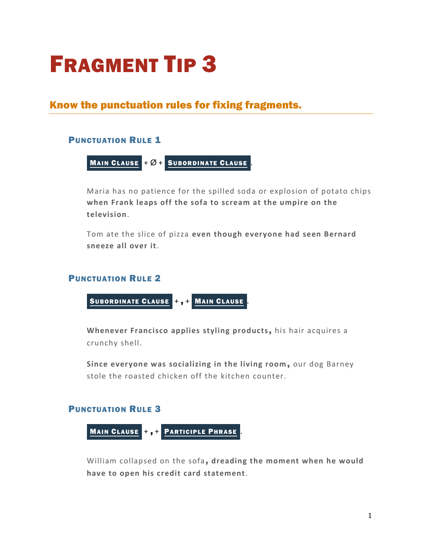# FRAGMENT TIP 3

# Know the punctuation rules for fixing fragments.

# **PUNCTUATION RULE 1**

MAIN CLAUSE 
$$
+Ø +
$$
 SUBORDINATE CLAUSE.

Maria has no patience for the spilled soda or explosion of potato chips **when Frank leaps off the sofa to scream at the umpire on the television**.

Tom ate the slice of pizza **even though everyone had seen Bernard sneeze all over it**.

# **PUNCTUATION RULE 2**



**Whenever Francisco applies styling products**, his hair acquires a crunchy shell.

Since everyone was socializing in the living room, our dog Barney stole the roasted chicken off the kitchen counter.

# PUNCTUATION RULE 3



William collapsed on the sofa, **dreading the moment when he would have to open his credit card statement**.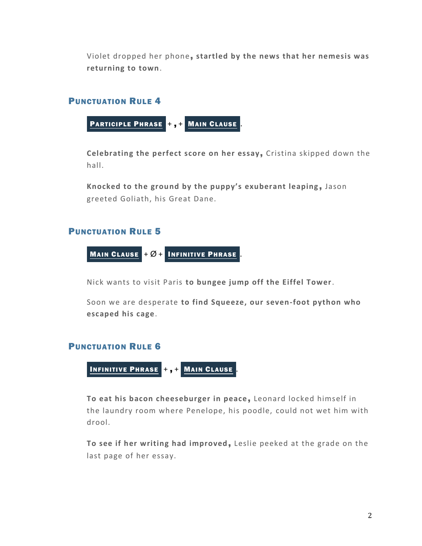Violet dropped her phone, **startled by the news that her nemesis was returning to town**.

#### PUNCTUATION RULE 4

PARTICIPLE PHRASE +, + MAIN CLAUSE

**Celebrating the perfect score on her essay**, Cristina skipped down the hall.

Knocked to the ground by the puppy's exuberant leaping, Jason greeted Goliath, his Great Dane.

#### PUNCTUATION RULE 5



Nick wants to visit Paris **to bungee jump off the Eiffel Tower**.

Soon we are desperate **to find Squeeze, our seven-foot python who escaped his cage**.

#### PUNCTUATION RULE 6

INFINITIVE PHRASE + , + MAIN CLAUSE .

**To eat his bacon cheeseburger in peace**, Leonard locked himself in the laundry room where Penelope, his poodle, could not wet him with drool.

**To see if her writing had improved**, Leslie peeked at the grade on the last page of her essay.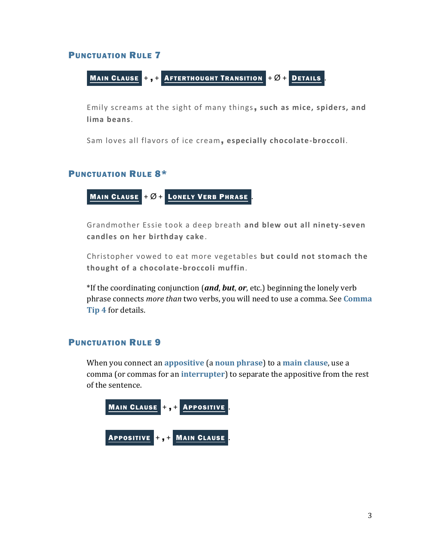### PUNCTUATION RULE 7

Main Claude +, + ~~Afierthought Transition~~ + 
$$
\varnothing
$$
 + Derails .

Emily screams at the sight of many things, **such as mice, spiders, and lima beans**.

Sam loves all flavors of ice cream, **especially chocolate-broccoli**.

#### PUNCTUATION RULE 8\*

$$
\underline{\text{Main Claude}} + \varnothing + \underline{\text{Longly Verb Phrase}}.
$$

Grandmother Essie took a deep breath **and blew out all ninety-seven candles on her birthday cake**.

Christopher vowed to eat more vegetables **but could not stomach the thought of a chocolate-broccoli muffin**.

\*If the coordinating conjunction (*and*, *but*, *or*, etc.) beginning the lonely verb phrase connects *more than* two verbs, you will need to use a comma. See **[Comma](https://chompchomp.com/handouts/commatip04.pdf)  [Tip 4](https://chompchomp.com/handouts/commatip04.pdf)** for details.

# PUNCTUATION RULE 9

When you connect an **[appositive](https://chompchomp.com/terms/appositive.htm)** (a **[noun phrase](https://chompchomp.com/terms/nounphrase.htm)**) to a **[main clause](https://chompchomp.com/terms/mainclause.htm)**, use a comma (or commas for an **[interrupter](https://chompchomp.com/terms/interrupter.htm)**) to separate the appositive from the rest of the sentence.

MAIN CLAUSE + , + APPOSITIVE . APPOSITIVE + , + MAIN CLAUSE .